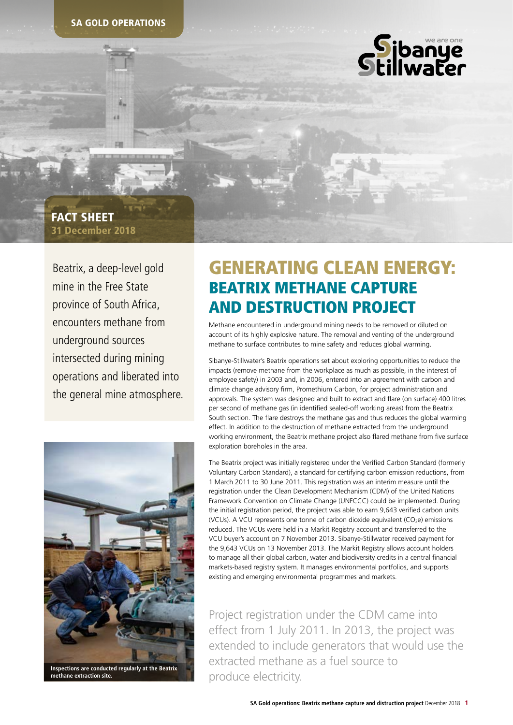

## 31 December 2018 FACT SHEET

Beatrix, a deep-level gold mine in the Free State province of South Africa, encounters methane from underground sources intersected during mining operations and liberated into the general mine atmosphere.



**Inspections are conducted regularly at the Beatrix methane extraction site. Inspection of the Beatricity. Installer methane extraction site.**

# GENERATING CLEAN ENERGY: BEATRIX METHANE CAPTURE AND DESTRUCTION PROJECT

Methane encountered in underground mining needs to be removed or diluted on account of its highly explosive nature. The removal and venting of the underground methane to surface contributes to mine safety and reduces global warming.

Sibanye-Stillwater's Beatrix operations set about exploring opportunities to reduce the impacts (remove methane from the workplace as much as possible, in the interest of employee safety) in 2003 and, in 2006, entered into an agreement with carbon and climate change advisory firm, Promethium Carbon, for project administration and approvals. The system was designed and built to extract and flare (on surface) 400 litres per second of methane gas (in identified sealed-off working areas) from the Beatrix South section. The flare destroys the methane gas and thus reduces the global warming effect. In addition to the destruction of methane extracted from the underground working environment, the Beatrix methane project also flared methane from five surface exploration boreholes in the area.

The Beatrix project was initially registered under the Verified Carbon Standard (formerly Voluntary Carbon Standard), a standard for certifying carbon emission reductions, from 1 March 2011 to 30 June 2011. This registration was an interim measure until the registration under the Clean Development Mechanism (CDM) of the United Nations Framework Convention on Climate Change (UNFCCC) could be implemented. During the initial registration period, the project was able to earn 9,643 verified carbon units (VCUs). A VCU represents one tonne of carbon dioxide equivalent (CO<sub>2</sub>e) emissions reduced. The VCUs were held in a Markit Registry account and transferred to the VCU buyer's account on 7 November 2013. Sibanye-Stillwater received payment for the 9,643 VCUs on 13 November 2013. The Markit Registry allows account holders to manage all their global carbon, water and biodiversity credits in a central financial markets-based registry system. It manages environmental portfolios, and supports existing and emerging environmental programmes and markets.

Project registration under the CDM came into effect from 1 July 2011. In 2013, the project was extended to include generators that would use the extracted methane as a fuel source to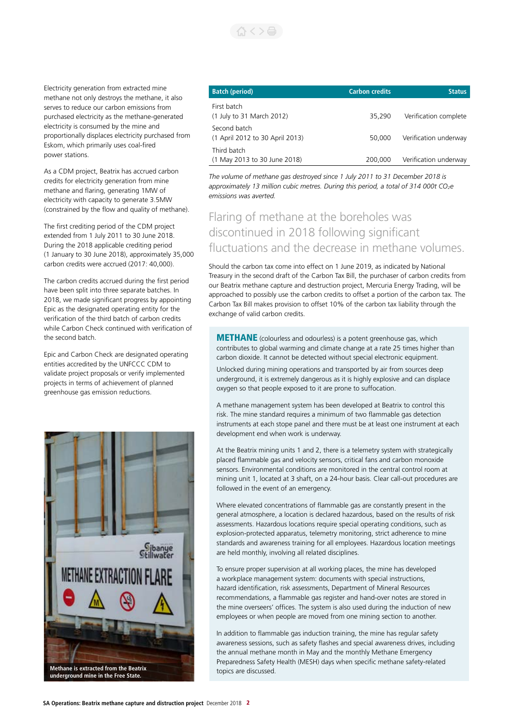

Electricity generation from extracted mine methane not only destroys the methane, it also serves to reduce our carbon emissions from purchased electricity as the methane-generated electricity is consumed by the mine and proportionally displaces electricity purchased from Eskom, which primarily uses coal-fired power stations.

As a CDM project, Beatrix has accrued carbon credits for electricity generation from mine methane and flaring, generating 1MW of electricity with capacity to generate 3.5MW (constrained by the flow and quality of methane).

The first crediting period of the CDM project extended from 1 July 2011 to 30 June 2018. During the 2018 applicable crediting period (1 January to 30 June 2018), approximately 35,000 carbon credits were accrued (2017: 40,000).

The carbon credits accrued during the first period have been split into three separate batches. In 2018, we made significant progress by appointing Epic as the designated operating entity for the verification of the third batch of carbon credits while Carbon Check continued with verification of the second batch.

Epic and Carbon Check are designated operating entities accredited by the UNFCCC CDM to validate project proposals or verify implemented projects in terms of achievement of planned greenhouse gas emission reductions.



| <b>Batch (period)</b>                           | <b>Carbon credits</b> | <b>Status</b>         |
|-------------------------------------------------|-----------------------|-----------------------|
| First batch<br>(1 July to 31 March 2012)        | 35,290                | Verification complete |
| Second batch<br>(1 April 2012 to 30 April 2013) | 50,000                | Verification underway |
| Third batch<br>(1 May 2013 to 30 June 2018)     | 200,000               | Verification underway |

*The volume of methane gas destroyed since 1 July 2011 to 31 December 2018 is approximately 13 million cubic metres. During this period, a total of 314 000t CO2e emissions was averted.*

## Flaring of methane at the boreholes was discontinued in 2018 following significant fluctuations and the decrease in methane volumes.

Should the carbon tax come into effect on 1 June 2019, as indicated by National Treasury in the second draft of the Carbon Tax Bill, the purchaser of carbon credits from our Beatrix methane capture and destruction project, Mercuria Energy Trading, will be approached to possibly use the carbon credits to offset a portion of the carbon tax. The Carbon Tax Bill makes provision to offset 10% of the carbon tax liability through the exchange of valid carbon credits.

**METHANE** (colourless and odourless) is a potent greenhouse gas, which contributes to global warming and climate change at a rate 25 times higher than carbon dioxide. It cannot be detected without special electronic equipment.

Unlocked during mining operations and transported by air from sources deep underground, it is extremely dangerous as it is highly explosive and can displace oxygen so that people exposed to it are prone to suffocation.

A methane management system has been developed at Beatrix to control this risk. The mine standard requires a minimum of two flammable gas detection instruments at each stope panel and there must be at least one instrument at each development end when work is underway.

At the Beatrix mining units 1 and 2, there is a telemetry system with strategically placed flammable gas and velocity sensors, critical fans and carbon monoxide sensors. Environmental conditions are monitored in the central control room at mining unit 1, located at 3 shaft, on a 24-hour basis. Clear call-out procedures are followed in the event of an emergency.

Where elevated concentrations of flammable gas are constantly present in the general atmosphere, a location is declared hazardous, based on the results of risk assessments. Hazardous locations require special operating conditions, such as explosion-protected apparatus, telemetry monitoring, strict adherence to mine standards and awareness training for all employees. Hazardous location meetings are held monthly, involving all related disciplines.

To ensure proper supervision at all working places, the mine has developed a workplace management system: documents with special instructions, hazard identification, risk assessments, Department of Mineral Resources recommendations, a flammable gas register and hand-over notes are stored in the mine overseers' offices. The system is also used during the induction of new employees or when people are moved from one mining section to another.

In addition to flammable gas induction training, the mine has regular safety awareness sessions, such as safety flashes and special awareness drives, including the annual methane month in May and the monthly Methane Emergency Preparedness Safety Health (MESH) days when specific methane safety-related topics are discussed.